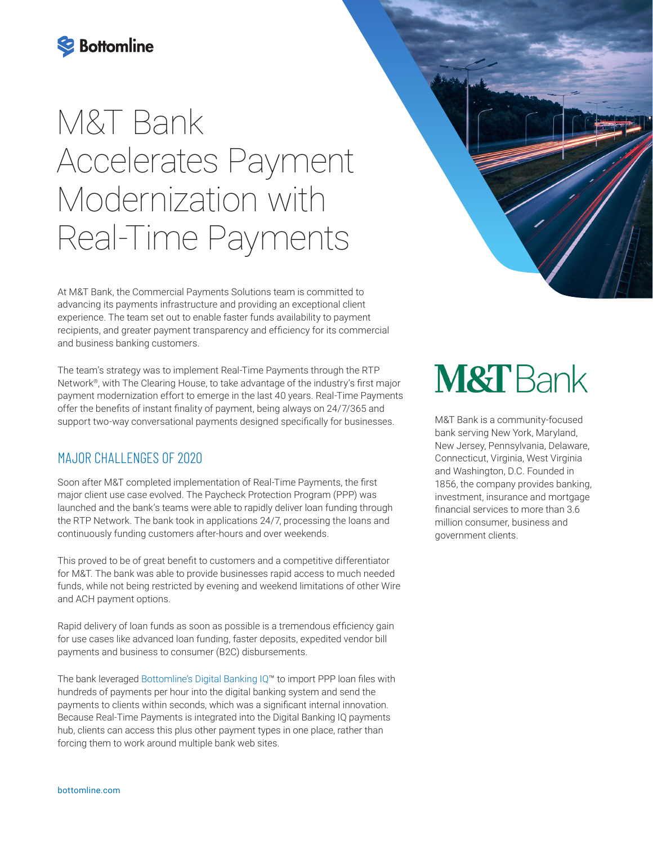

# M&T Bank Accelerates Payment Modernization with Real-Time Payments

At M&T Bank, the Commercial Payments Solutions team is committed to advancing its payments infrastructure and providing an exceptional client experience. The team set out to enable faster funds availability to payment recipients, and greater payment transparency and efficiency for its commercial and business banking customers.

The team's strategy was to implement Real-Time Payments through the RTP Network®, with The Clearing House, to take advantage of the industry's first major payment modernization effort to emerge in the last 40 years. Real-Time Payments offer the benefits of instant finality of payment, being always on 24/7/365 and support two-way conversational payments designed specifically for businesses.

#### MAJOR CHALLENGES OF 2020

Soon after M&T completed implementation of Real-Time Payments, the first major client use case evolved. The Paycheck Protection Program (PPP) was launched and the bank's teams were able to rapidly deliver loan funding through the RTP Network. The bank took in applications 24/7, processing the loans and continuously funding customers after-hours and over weekends.

This proved to be of great benefit to customers and a competitive differentiator for M&T. The bank was able to provide businesses rapid access to much needed funds, while not being restricted by evening and weekend limitations of other Wire and ACH payment options.

Rapid delivery of loan funds as soon as possible is a tremendous efficiency gain for use cases like advanced loan funding, faster deposits, expedited vendor bill payments and business to consumer (B2C) disbursements.

The bank leveraged [Bottomline's Digital Banking IQ](https://www.bottomline.com/us/financial-institutions/digital-banking/payments-and-cash-lifecycle-management)™ to import PPP loan files with hundreds of payments per hour into the digital banking system and send the payments to clients within seconds, which was a significant internal innovation. Because Real-Time Payments is integrated into the Digital Banking IQ payments hub, clients can access this plus other payment types in one place, rather than forcing them to work around multiple bank web sites.



M&T Bank is a community-focused bank serving New York, Maryland, New Jersey, Pennsylvania, Delaware, Connecticut, Virginia, West Virginia and Washington, D.C. Founded in 1856, the company provides banking, investment, insurance and mortgage financial services to more than 3.6 million consumer, business and government clients.